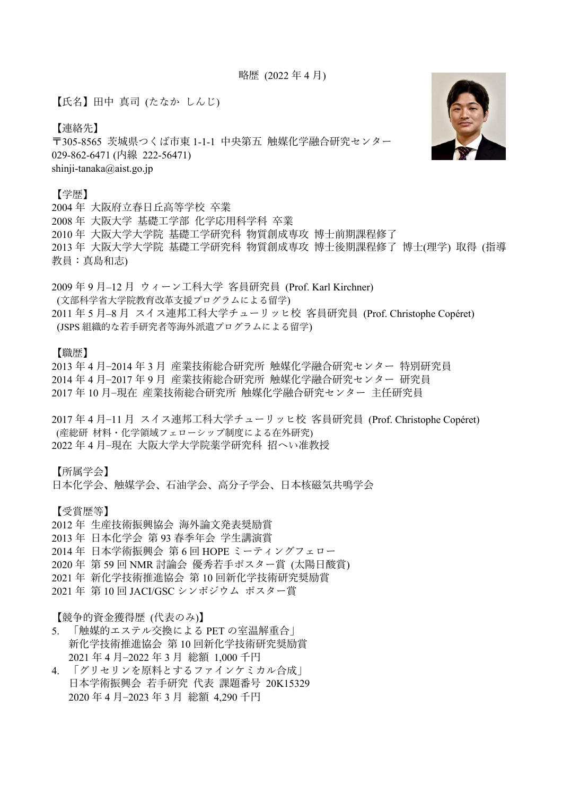略歴 (2022年4月)

【氏名】田中 真司 (たなか しんじ)

【連絡先】

〒305-8565 茨城県つくば市東 1-1-1 中央第五 触媒化学融合研究センター 029-862-6471 (内線 222-56471) shinji-tanaka@aist.go.jp

## 【学歴】

2004 年 ⼤阪府⽴春⽇丘⾼等学校 卒業 2008 年 ⼤阪⼤学 基礎⼯学部 化学応⽤科学科 卒業 2010 年 大阪大学大学院 基礎工学研究科 物質創成専攻 博士前期課程修了 2013 年 大阪大学大学院 基礎工学研究科 物質創成専攻 博士後期課程修了 博士(理学) 取得 (指導 教員:真島和志)

2009年9月−12月 ウィーン工科大学 客員研究員 (Prof. Karl Kirchner) (⽂部科学省⼤学院教育改⾰⽀援プログラムによる留学) 2011 年 5 月−8 月 スイス連邦工科大学チューリッヒ校 客員研究員 (Prof. Christophe Copéret) (JSPS 組織的な若手研究者等海外派遣プログラムによる留学)

【職歴】

2013 年 4 月−2014 年 3 月 産業技術総合研究所 触媒化学融合研究センター 特別研究員 2014 年 4 月−2017 年 9 月 産業技術総合研究所 触媒化学融合研究センター 研究員 2017年10月–現在 産業技術総合研究所 触媒化学融合研究センター 主任研究員

2017年4月-11月 スイス連邦工科大学チューリッヒ校 客員研究員 (Prof. Christophe Copéret) (産総研 材料・化学領域フェローシップ制度による在外研究) 2022 年4月−現在 大阪大学大学院薬学研究科 招へい准教授

【所属学会】

日本化学会、触媒学会、石油学会、高分子学会、日本核磁気共鳴学会

【受賞歴等】

2012 年 ⽣産技術振興協会 海外論⽂発表奨励賞

2013 年 日本化学会 第 93 春季年会 学生講演賞

- 2014 年 日本学術振興会 第6回 HOPE ミーティングフェロー
- 2020年 第 59 回 NMR 討論会 優秀若手ポスター賞 (太陽日酸賞)
- 2021 年 新化学技術推進協会 第 10 回新化学技術研究奨励賞
- 2021 年 第 10 回 JACI/GSC シンポジウム ポスター賞

【競争的資⾦獲得歴 (代表のみ)】

- 5. 「触媒的エステル交換による PET の室温解重合」 新化学技術推進協会 第 10 回新化学技術研究奨励賞 2021 年 4 ⽉‒2022 年 3 ⽉ 総額 1,000 千円
- 4. 「グリセリンを原料とするファインケミカル合成」 日本学術振興会 若手研究 代表 課題番号 20K15329 2020 年 4 ⽉‒2023 年 3 ⽉ 総額 4,290 千円

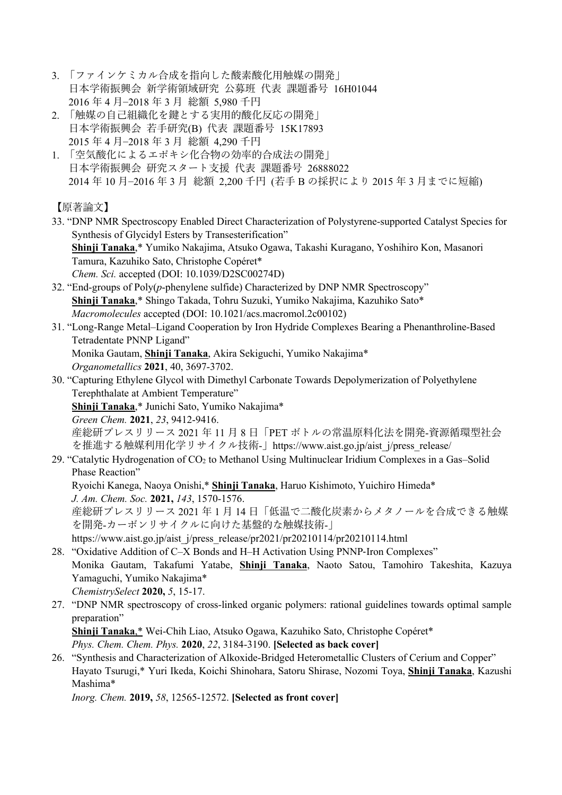- 3. 「ファインケミカル合成を指向した酸素酸化用触媒の開発」 ⽇本学術振興会 新学術領域研究 公募班 代表 課題番号 16H01044 2016 年 4 ⽉‒2018 年 3 ⽉ 総額 5,980 千円
- 2. 「触媒の自己組織化を鍵とする実用的酸化反応の開発」 日本学術振興会 若手研究(B) 代表 課題番号 15K17893 2015 年 4 ⽉‒2018 年 3 ⽉ 総額 4,290 千円
- 1. 「空気酸化によるエポキシ化合物の効率的合成法の開発」 日本学術振興会 研究スタート支援 代表 課題番号 26888022 2014年 10月−2016年3月総額 2,200千円 (若手Bの採択により 2015年3月までに短縮)

【原著論⽂】

- 33. "DNP NMR Spectroscopy Enabled Direct Characterization of Polystyrene-supported Catalyst Species for Synthesis of Glycidyl Esters by Transesterification" **Shinji Tanaka**,\* Yumiko Nakajima, Atsuko Ogawa, Takashi Kuragano, Yoshihiro Kon, Masanori Tamura, Kazuhiko Sato, Christophe Copéret\* *Chem. Sci.* accepted (DOI: 10.1039/D2SC00274D)
- 32. "End-groups of Poly(*p*-phenylene sulfide) Characterized by DNP NMR Spectroscopy" **Shinji Tanaka**,\* Shingo Takada, Tohru Suzuki, Yumiko Nakajima, Kazuhiko Sato\* *Macromolecules* accepted (DOI: 10.1021/acs.macromol.2c00102)
- 31. "Long-Range Metal–Ligand Cooperation by Iron Hydride Complexes Bearing a Phenanthroline-Based Tetradentate PNNP Ligand" Monika Gautam, **Shinji Tanaka**, Akira Sekiguchi, Yumiko Nakajima\* *Organometallics* **2021**, 40, 3697-3702.
- 30. "Capturing Ethylene Glycol with Dimethyl Carbonate Towards Depolymerization of Polyethylene Terephthalate at Ambient Temperature" **Shinji Tanaka**,\* Junichi Sato, Yumiko Nakajima\*

*Green Chem.* **2021**, *23*, 9412-9416.

産総研プレスリリース 2021 年 11 月 8 日「PET ボトルの常温原料化法を開発-資源循環型社会 を推進する触媒利用化学リサイクル技術-」https://www.aist.go.jp/aist\_j/press\_release/

29. "Catalytic Hydrogenation of CO<sub>2</sub> to Methanol Using Multinuclear Iridium Complexes in a Gas-Solid Phase Reaction"

Ryoichi Kanega, Naoya Onishi,\* **Shinji Tanaka**, Haruo Kishimoto, Yuichiro Himeda\* *J. Am. Chem. Soc.* **2021,** *143*, 1570-1576.

産総研プレスリリース 2021 年1月14日「低温で二酸化炭素からメタノールを合成できる触媒 を開発-カーボンリサイクルに向けた基盤的な触媒技術-」

https://www.aist.go.jp/aist\_j/press\_release/pr2021/pr20210114/pr20210114.html

- 28. "Oxidative Addition of C–X Bonds and H–H Activation Using PNNP-Iron Complexes" Monika Gautam, Takafumi Yatabe, **Shinji Tanaka**, Naoto Satou, Tamohiro Takeshita, Kazuya Yamaguchi, Yumiko Nakajima\* *ChemistrySelect* **2020,** *5*, 15-17.
- 27. "DNP NMR spectroscopy of cross-linked organic polymers: rational guidelines towards optimal sample preparation"

**Shinji Tanaka**,\* Wei-Chih Liao, Atsuko Ogawa, Kazuhiko Sato, Christophe Copéret\* *Phys. Chem. Chem. Phys.* **2020**, *22*, 3184-3190. **[Selected as back cover]**

26. "Synthesis and Characterization of Alkoxide-Bridged Heterometallic Clusters of Cerium and Copper" Hayato Tsurugi,\* Yuri Ikeda, Koichi Shinohara, Satoru Shirase, Nozomi Toya, **Shinji Tanaka**, Kazushi Mashima\*

*Inorg. Chem.* **2019,** *58*, 12565-12572. **[Selected as front cover]**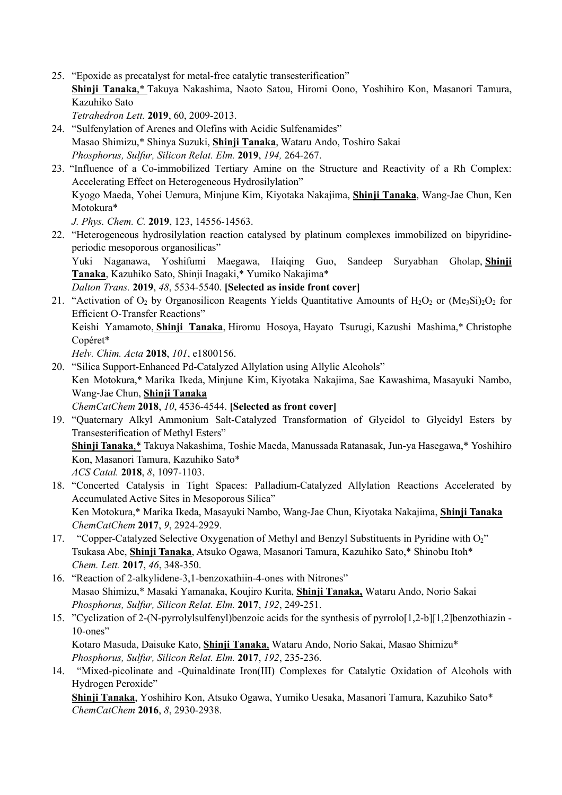- 25. "Epoxide as precatalyst for metal-free catalytic transesterification" **Shinji Tanaka**,\* Takuya Nakashima, Naoto Satou, Hiromi Oono, Yoshihiro Kon, Masanori Tamura, Kazuhiko Sato
	- *Tetrahedron Lett.* **2019**, 60, 2009-2013.
- 24. "Sulfenylation of Arenes and Olefins with Acidic Sulfenamides" Masao Shimizu,\* Shinya Suzuki, **Shinji Tanaka**, Wataru Ando, Toshiro Sakai *Phosphorus, Sulfur, Silicon Relat. Elm.* **2019**, *194,* 264-267.
- 23. "Influence of a Co-immobilized Tertiary Amine on the Structure and Reactivity of a Rh Complex: Accelerating Effect on Heterogeneous Hydrosilylation" Kyogo Maeda, Yohei Uemura, Minjune Kim, Kiyotaka Nakajima, **Shinji Tanaka**, Wang-Jae Chun, Ken Motokura\* *J. Phys. Chem. C.* **2019**, 123, 14556-14563.
- 22. "Heterogeneous hydrosilylation reaction catalysed by platinum complexes immobilized on bipyridineperiodic mesoporous organosilicas" Yuki Naganawa, Yoshifumi Maegawa, Haiqing Guo, Sandeep Suryabhan Gholap, **Shinji Tanaka**, Kazuhiko Sato, Shinji Inagaki,\* Yumiko Nakajima\*

*Dalton Trans.* **2019**, *48*, 5534-5540. **[Selected as inside front cover]**

21. "Activation of  $O_2$  by Organosilicon Reagents Yields Quantitative Amounts of  $H_2O_2$  or (Me<sub>3</sub>Si)<sub>2</sub>O<sub>2</sub> for Efficient O-Transfer Reactions"

Keishi Yamamoto, **Shinji Tanaka**, Hiromu Hosoya, Hayato Tsurugi, Kazushi Mashima,\* Christophe Copéret\*

*Helv. Chim. Acta* **2018**, *101*, e1800156.

- 20. "Silica Support-Enhanced Pd-Catalyzed Allylation using Allylic Alcohols" Ken Motokura,\* Marika Ikeda, Minjune Kim, Kiyotaka Nakajima, Sae Kawashima, Masayuki Nambo, Wang-Jae Chun, **Shinji Tanaka** *ChemCatChem* **2018**, *10*, 4536-4544. **[Selected as front cover]**
- 19. "Quaternary Alkyl Ammonium Salt-Catalyzed Transformation of Glycidol to Glycidyl Esters by Transesterification of Methyl Esters" **Shinji Tanaka**,\* Takuya Nakashima, Toshie Maeda, Manussada Ratanasak, Jun-ya Hasegawa,\* Yoshihiro Kon, Masanori Tamura, Kazuhiko Sato\* *ACS Catal.* **2018**, *8*, 1097-1103.
- 18. "Concerted Catalysis in Tight Spaces: Palladium-Catalyzed Allylation Reactions Accelerated by Accumulated Active Sites in Mesoporous Silica" Ken Motokura,\* Marika Ikeda, Masayuki Nambo, Wang-Jae Chun, Kiyotaka Nakajima, **Shinji Tanaka** *ChemCatChem* **2017**, *9*, 2924-2929.
- 17. "Copper-Catalyzed Selective Oxygenation of Methyl and Benzyl Substituents in Pyridine with O<sub>2</sub>" Tsukasa Abe, **Shinji Tanaka**, Atsuko Ogawa, Masanori Tamura, Kazuhiko Sato,\* Shinobu Itoh\* *Chem. Lett.* **2017**, *46*, 348-350.
- 16. "Reaction of 2-alkylidene-3,1-benzoxathiin-4-ones with Nitrones" Masao Shimizu,\* Masaki Yamanaka, Koujiro Kurita, **Shinji Tanaka,** Wataru Ando, Norio Sakai *Phosphorus, Sulfur, Silicon Relat. Elm.* **2017**, *192*, 249-251.
- 15. "Cyclization of 2-(N-pyrrolylsulfenyl)benzoic acids for the synthesis of pyrrolo[1,2-b][1,2]benzothiazin 10-ones"

Kotaro Masuda, Daisuke Kato, **Shinji Tanaka**, Wataru Ando, Norio Sakai, Masao Shimizu\* *Phosphorus, Sulfur, Silicon Relat. Elm.* **2017**, *192*, 235-236.

14. "Mixed-picolinate and -Quinaldinate Iron(III) Complexes for Catalytic Oxidation of Alcohols with Hydrogen Peroxide"

**Shinji Tanaka**, Yoshihiro Kon, Atsuko Ogawa, Yumiko Uesaka, Masanori Tamura, Kazuhiko Sato\* *ChemCatChem* **2016**, *8*, 2930-2938.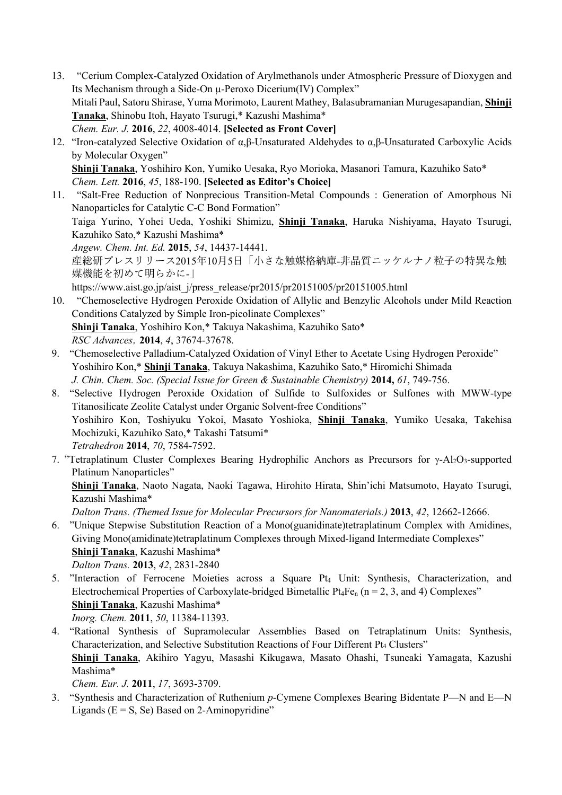- 13. "Cerium Complex-Catalyzed Oxidation of Arylmethanols under Atmospheric Pressure of Dioxygen and Its Mechanism through a Side-On µ-Peroxo Dicerium(IV) Complex" Mitali Paul, Satoru Shirase, Yuma Morimoto, Laurent Mathey, Balasubramanian Murugesapandian, **Shinji Tanaka**, Shinobu Itoh, Hayato Tsurugi,\* Kazushi Mashima\* *Chem. Eur. J.* **2016**, *22*, 4008-4014. **[Selected as Front Cover]**
- 12. "Iron-catalyzed Selective Oxidation of α,β-Unsaturated Aldehydes to α,β-Unsaturated Carboxylic Acids by Molecular Oxygen" **Shinji Tanaka**, Yoshihiro Kon, Yumiko Uesaka, Ryo Morioka, Masanori Tamura, Kazuhiko Sato\* *Chem. Lett.* **2016**, *45*, 188-190. **[Selected as Editor's Choice]**
- 11. "Salt-Free Reduction of Nonprecious Transition-Metal Compounds : Generation of Amorphous Ni Nanoparticles for Catalytic C-C Bond Formation"

Taiga Yurino, Yohei Ueda, Yoshiki Shimizu, **Shinji Tanaka**, Haruka Nishiyama, Hayato Tsurugi, Kazuhiko Sato,\* Kazushi Mashima\*

*Angew. Chem. Int. Ed.* **2015**, *54*, 14437-14441.

産総研プレスリリース2015年10月5日「小さな触媒格納庫-非晶質ニッケルナノ粒子の特異な触 媒機能を初めて明らかに-」

https://www.aist.go.jp/aist\_j/press\_release/pr2015/pr20151005/pr20151005.html

- 10. "Chemoselective Hydrogen Peroxide Oxidation of Allylic and Benzylic Alcohols under Mild Reaction Conditions Catalyzed by Simple Iron-picolinate Complexes" **Shinji Tanaka**, Yoshihiro Kon,\* Takuya Nakashima, Kazuhiko Sato\* *RSC Advances*,**2014**, *4*, 37674-37678.
- 9. "Chemoselective Palladium-Catalyzed Oxidation of Vinyl Ether to Acetate Using Hydrogen Peroxide" Yoshihiro Kon,\* **Shinji Tanaka**, Takuya Nakashima, Kazuhiko Sato,\* Hiromichi Shimada *J. Chin. Chem. Soc. (Special Issue for Green & Sustainable Chemistry)* **2014,** *61*, 749-756.
- 8. "Selective Hydrogen Peroxide Oxidation of Sulfide to Sulfoxides or Sulfones with MWW-type Titanosilicate Zeolite Catalyst under Organic Solvent-free Conditions" Yoshihiro Kon, Toshiyuku Yokoi, Masato Yoshioka, **Shinji Tanaka**, Yumiko Uesaka, Takehisa Mochizuki, Kazuhiko Sato,\* Takashi Tatsumi\* *Tetrahedron* **2014**, *70*, 7584-7592.
- 7. "Tetraplatinum Cluster Complexes Bearing Hydrophilic Anchors as Precursors for  $\gamma$ -Al<sub>2</sub>O<sub>3</sub>-supported Platinum Nanoparticles"

**Shinji Tanaka**, Naoto Nagata, Naoki Tagawa, Hirohito Hirata, Shin'ichi Matsumoto, Hayato Tsurugi, Kazushi Mashima\*

*Dalton Trans. (Themed Issue for Molecular Precursors for Nanomaterials.)* **2013**, *42*, 12662-12666.

6. "Unique Stepwise Substitution Reaction of a Mono(guanidinate)tetraplatinum Complex with Amidines, Giving Mono(amidinate)tetraplatinum Complexes through Mixed-ligand Intermediate Complexes" **Shinji Tanaka**, Kazushi Mashima\*

*Dalton Trans.* **2013**, *42*, 2831-2840

- 5. "Interaction of Ferrocene Moieties across a Square Pt4 Unit: Synthesis, Characterization, and Electrochemical Properties of Carboxylate-bridged Bimetallic Pt<sub>4</sub>Fe<sub>n</sub> ( $n = 2, 3$ , and 4) Complexes" **Shinji Tanaka**, Kazushi Mashima\* *Inorg. Chem.* **2011**, *50*, 11384-11393.
- 4. "Rational Synthesis of Supramolecular Assemblies Based on Tetraplatinum Units: Synthesis, Characterization, and Selective Substitution Reactions of Four Different Pt4 Clusters" **Shinji Tanaka**, Akihiro Yagyu, Masashi Kikugawa, Masato Ohashi, Tsuneaki Yamagata, Kazushi Mashima\*

*Chem. Eur. J.* **2011**, *17*, 3693-3709.

3. "Synthesis and Characterization of Ruthenium *p*-Cymene Complexes Bearing Bidentate P—N and E—N Ligands ( $E = S$ , Se) Based on 2-Aminopyridine"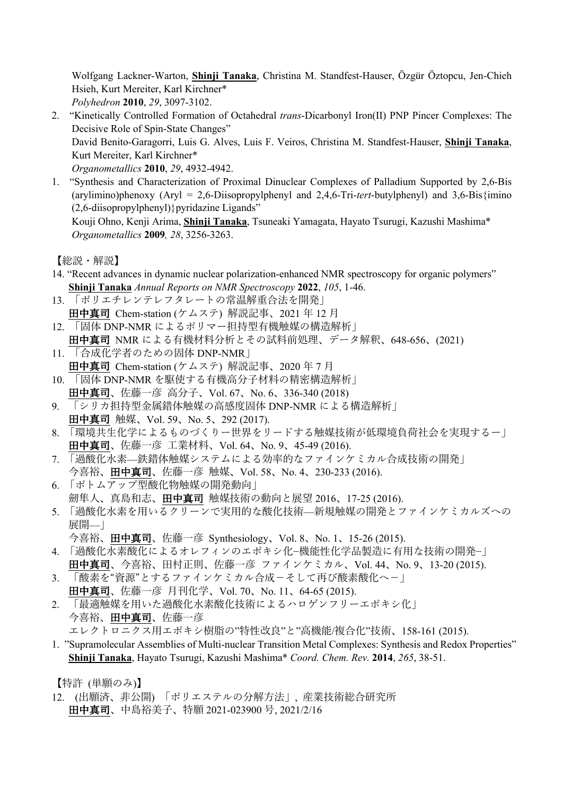Wolfgang Lackner-Warton, **Shinji Tanaka**, Christina M. Standfest-Hauser, Özgür Öztopcu, Jen-Chieh Hsieh, Kurt Mereiter, Karl Kirchner\*

- *Polyhedron* **2010**, *29*, 3097-3102.
- 2. "Kinetically Controlled Formation of Octahedral *trans*-Dicarbonyl Iron(II) PNP Pincer Complexes: The Decisive Role of Spin-State Changes" David Benito-Garagorri, Luis G. Alves, Luis F. Veiros, Christina M. Standfest-Hauser, **Shinji Tanaka**, Kurt Mereiter, Karl Kirchner\* *Organometallics* **2010**, *29*, 4932-4942.
- 1. "Synthesis and Characterization of Proximal Dinuclear Complexes of Palladium Supported by 2,6-Bis (arylimino)phenoxy (Aryl = 2,6-Diisopropylphenyl and 2,4,6-Tri-*tert*-butylphenyl) and 3,6-Bis{imino (2,6-diisopropylphenyl)} pyridazine Ligands"

Kouji Ohno, Kenji Arima, **Shinji Tanaka**, Tsuneaki Yamagata, Hayato Tsurugi, Kazushi Mashima\* *Organometallics* **2009***, 28*, 3256-3263.

【総説・解説】

- 14. "Recent advances in dynamic nuclear polarization-enhanced NMR spectroscopy for organic polymers" **Shinji Tanaka** *Annual Reports on NMR Spectroscopy* **2022**, *105*, 1-46.
- 13. 「ポリエチレンテレフタレートの常温解重合法を開発」 田中真司 Chem-station (ケムステ) 解説記事、2021 年 12 月
- 12. 「固体 DNP-NMR によるポリマー担持型有機触媒の構造解析」 ⽥中真司 NMR による有機材料分析とその試料前処理、データ解釈、648-656、(2021)
- 11. 「合成化学者のための固体 DNP-NMR」 田中真司 Chem-station (ケムステ) 解説記事、2020年7月
- 10. 「固体 DNP-NMR を駆使する有機⾼分⼦材料の精密構造解析」 ⽥中真司、佐藤⼀彦 ⾼分⼦、Vol. 67、No. 6、336-340 (2018)
- 9. 「シリカ担持型金属錯体触媒の高感度固体 DNP-NMR による構造解析」 ⽥中真司 触媒、Vol. 59、No. 5、292 (2017).
- 8. 「環境共⽣化学によるものづくりー世界をリードする触媒技術が低環境負荷社会を実現するー」 ⽥中真司、佐藤⼀彦 ⼯業材料、Vol. 64、No. 9、45-49 (2016).
- 7. 「過酸化⽔素—鉄錯体触媒システムによる効率的なファインケミカル合成技術の開発」 今喜裕、田中真司、佐藤一彦 触媒、Vol. 58、No. 4、230-233 (2016).
- 6. 「ボトムアップ型酸化物触媒の開発動向」

劒隼⼈、真島和志、⽥中真司 触媒技術の動向と展望 2016、17-25 (2016).

5. 「過酸化水素を用いるクリーンで実用的な酸化技術—新規触媒の開発とファインケミカルズへの 展開—」

```
今喜裕、田中真司、佐藤一彦 Synthesiology、Vol. 8、No. 1、15-26 (2015).
```
- 4. 「過酸化水素酸化によるオレフィンのエポキシ化−機能性化学品製造に有用な技術の開発−」 ⽥中真司、今喜裕、⽥村正則、佐藤⼀彦 ファインケミカル、Vol. 44、No. 9、13-20 (2015).
- 3. 「酸素を"資源"とするファインケミカル合成−そして再び酸素酸化へ−」
- 田中真司、佐藤一彦 月刊化学、Vol. 70、No. 11、64-65 (2015). 2. 「最適触媒を用いた過酸化水素酸化技術によるハロゲンフリーエポキシ化」
- 今喜裕、田中真司、佐藤一彦
	- エレクトロニクス用エポキシ樹脂の"特性改良"と"高機能/複合化"技術、158-161 (2015).
- 1. "Supramolecular Assemblies of Multi-nuclear Transition Metal Complexes: Synthesis and Redox Properties" **Shinji Tanaka**, Hayato Tsurugi, Kazushi Mashima\* *Coord. Chem. Rev.* **2014**, *265*, 38-51.

【特許 (単願のみ)】

12. (出願済、非公開) 「ポリエステルの分解方法」, 産業技術総合研究所 田中真司、中島裕美子、特願 2021-023900 号, 2021/2/16